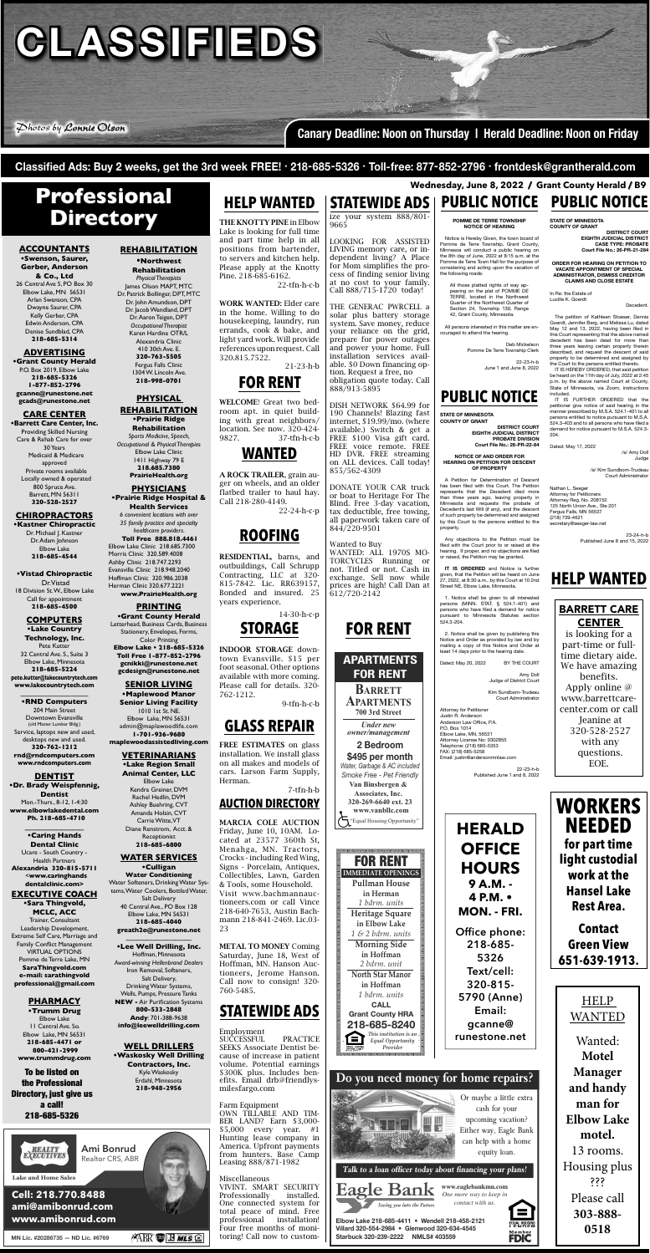$GLASS$ IFIEDS

 $\mathcal{P}$ hotos by Lonnie Olson

### **ACCOUNTANTS**

**•Swenson, Saurer, Gerber, Anderson & Co., Ltd** 26 Central Ave S, PO Box 30 Elbow Lake, MN 56531 Arlan Swenson, CPA Dwayne Saurer, CPA Kelly Gerber, CPA Edwin Anderson, CPA Denise Sundblad, CPA **218-685-5314**

### **ADVERTISING**

**•Grant County Herald** P.O. Box 2019, Elbow Lake **218-685-5326 1-877-852-2796 gcanne@runestone.net gcads@runestone.net**

### **CARE CENTER**

**•Barrett Care Center, Inc.** Providing Skilled Nursing Care & Rehab Care for over 30 Years Medicaid & Medicare approved Private rooms available Locally owned & operated 800 Spruce Ave. Barrett, MN 56311 **320-528-2527**

### **CHIROPRACTORS**

**•Kastner Chiropractic** Dr. Michael J. Kastner Dr. Adam Johnson Elbow Lake **218-685-4544**

**•Vistad Chiropractic** Dr. Vistad 18 Division St. W., Elbow Lake Call for appointment **218-685-4500**

### **COMPUTERS**

**•Lake Country Technology, Inc.**  Pete Kutter 32 Central Ave. S., Suite 3 Elbow Lake, Minnesota **218-685-5224 pete.kutter@lakecountrytech.com**

**www.lakecountrytech.com**

#### **\_\_\_\_\_\_\_\_\_\_\_\_\_\_\_\_\_\_\_\_\_\_\_ •RND Computers**

204 Main Street Downtown Evansville (old Master Lumber Bldg.) Service, laptops new and used,

desktops new and used. **320-762-1212 rnd@rndcomputers.com www.rndcomputers.com**

**DENTIST •Dr. Brady Weispfennig, Dentist** Mon.-Thurs., 8-12, 1-4:30 **www.elbowlakedental.com Ph. 218-685-4710**

> **\_\_\_\_\_\_\_\_\_\_\_\_\_\_\_\_ •Caring Hands Dental Clinic**

Ucare - South Country - Health Partners **Alexandria 320-815-5711** <**www.caringhands dentalclinic.com>**

#### **EXECUTIVE COACH**

**•Sara Thingvold, MCLC, ACC** Trainer, Consultant Leadership Development, Extreme Self Care, Marriage and Family Conflict Management VIRTUAL OPTIONS Pomme de Terre Lake, MN **SaraThingvold.com e-mail: sarathingvold professional@gmail.com**

### **PHARMACY**

**•Trumm Drug**  Elbow Lake 11 Central Ave. So. Elbow Lake, MN 56531 **218-685-4471 or 800-421-2999 www.trummdrug.com** 

## **REHABILITATION**

# **Professional Directory irectory**

**•Northwest Rehabilitation** *Physical Therapists* James Olson MAPT, MTC Dr. Patrick Bollinger, DPT, MTC Dr. John Amundson, DPT Dr. Jacob Wendland, DPT Dr. Aaron Teigen, DPT *Occupational Therapist* Karen Hardine OTR/L Alexandria Clinic 410 30th Ave. E. **320-763-5505** Fergus Falls Clinic 1304 W. Lincoln Ave. **218-998-0701**

### **PHYSICAL REHABILITATION**

**•Prairie Ridge Rehabilitation** *Sports Medicine, Speech, Occupational & Physical Therapies* Elbow Lake Clinic 1411 Highway 79 E **218.685.7380 PrairieHealth.org**

### **PHYSICIANS •Prairie Ridge Hospital &**

**Health Services** *6 convenient locations with over 35 family practice and specialty healthcare providers*.  **Toll Free 888.818.4461** Elbow Lake Clinic 218.685.7300 Morris Clinic 320.589.4008 Ashby Clinic 218.747.2293 Evansville Clinic 218.948.2040 Hoffman Clinic 320.986.2038

#### Herman Clinic 320.677.2221 **www.PrairieHealth.org**

**PRINTING •Grant County Herald** Letterhead, Business Cards, Business Stationery, Envelopes, Forms, Color Printing **Elbow Lake • 218-685-5326 Toll Free 1-877-852-2796 gcnikki@runestone.net gcdesign@runestone.net**

### **SENIOR LIVING**

**•Maplewood Manor Senior Living Facility**  1010 1st St. NE. Elbow Lake, MN 56531 admin@maplewoodlife.com **1-701-936-9680**

**maplewoodassistedliving.com**

# **VETERINARIANS**

VIVINT. SMART SECURITY<br>Professionally installed. Professionally One connected system for total peace of mind. Free professional installation! Four free months of monitoring! Call now to custom-

#### **•Lake Region Small Animal Center, LLC**

LOOKING FOR ASSISTED LIVING memory care, or independent living? A Place for Mom simplifies the process of finding senior living at no cost to your family. Call 888/715-1720 today!

Elbow Lake Kendra Greiner, DVM Rachel Hedlin, DVM Ashley Buehring, CVT Amanda Holsin, CVT Carrie Witte, VT Diane Renstrom, Acct. & Receptionist **218-685-6800**

### **WATER SERVICES**

**•Culligan Water Conditioning** Water Softeners, Drinking Water Systems, Water Coolers, Bottled Water, Salt Delivery 40 Central Ave., PO Box 128 Elbow Lake, MN 56531 **218-685-4040 greath2o@runestone.net**

#### **\_\_\_\_\_\_\_\_\_\_\_\_\_\_\_\_\_\_\_\_ •Lee Well Drilling, Inc.**

Hoffman, Minnesota *Award-winning Hellenbrand Dealers* Iron Removal, Softeners, Salt Delivery, Drinking Water Systems, Wells, Pumps, Pressure Tanks **NEW -** Air Purification Systems **800-533-2848 Andy**: 701-388-9638 **info@leewelldrilling.com**

> Or maybe a little extra upcoming vacation? Either way, Eagle Bank can help with a home can help with a home

runestone.net

 $\mathbf{q}$  is given by

**FDIC** 

#### **WELL DRILLERS**

**•Waskosky Well Drilling Contractors, Inc.** Kyle Waskosky Erdahl, Minnesota **218-948-2956**

 **Wednesday, June 8, 2022 / Grant County Herald / B9**

# **HELP WANTED**

THE KNOTTY PINE in Elbow Lake is looking for full time and part time help in all positions from bartender, to servers and kitchen help. Please apply at the Knotty Pine. 218-685-6162.

22-tfn-h-c-b

WORK WANTED: Elder care in the home. Willing to do housekeeping, laundry, run errands, cook & bake, and light yard work. Will provide references upon request. Call 320.815.7522.

21-23-h-b

# **FOR RENT**

WELCOME! Great two bedroom apt. in quiet building with great neighbors/ location. See now. 320-424- 9827. 37-tfn-h-c-b

# **WANTED**

A ROCK TRAILER, grain auger on wheels, and an older flatbed trailer to haul hay. Call 218-280-4149.

22-24-h-c-p

# **ROOFING**

RESIDENTIAL, barns, and outbuildings, Call Schrupp Contracting, LLC at 320- 815-7842. Lic. RR639157, Bonded and insured. 25 years experience.

Deb Mickel Pomme De Terre Township Clerk

## 14-30-h-c-p **STORAGE**

INDOOR STORAGE downtown Evansville. \$15 per foot seasonal. Other options available with more coming. Please call for details. 320- 762-1212.

9-tfn-h-c-b



FREE ESTIMATES on glass installation. We install glass on all makes and models of cars. Larson Farm Supply,

Herman.

7-tfn-h-b

**AUCTION DIRECTORY**

MARCIA COLE AUCTION Friday, June 10, 10AM. Located at 23577 360th St, Menahga, MN. Tractors, Crocks - including Red Wing, Signs - Porcelain, Antiques, Collectibles, Lawn, Garden & Tools, some Household. Visit www.bachmannauctioneers.com or call Vince 218-640-7653, Austin Bachmann 218-841-2469. Lic.03Nathan L. Seeger Attorney for Petitioners Attorney Reg. No. 208152 125 North Union Ave., Ste 201 Fergus Falls, MN 56537 (218) 739-4621 .<br>secretary@seeger-

23

METAL TO MONEY Coming Saturday, June 18, West of Hoffman, MN. Hanson Auctioneers, Jerome Hanson. Call now to consign! 320-

760-5485.

**STATEWIDE ADS**

Employment

SUCCESSFUL PRACTICE SEEKS Associate Dentist because of increase in patient volume. Potential earnings \$300K plus. Includes benefits. Email drb@friendlys-

milesfargo.com

#### Farm Equipment

OWN TILLABLE AND TIM-BER LAND? Earn \$3,000- \$5,000 every year. #1 Hunting lease company in America. Upfront payments from hunters. Base Camp Leasing 888/871-1982

#### Miscellaneous

To be listed on the Professional Directory, just give us a call! 218-685-5326



ize your system 888/801- 9665

> **HERALD OFFICE HOURS 9 A.M. - 4 P.M. • MON. - FRI.** Office phone:<br>218-685-5326 Text/cell: 320-815-5790 (Anne) Email: gcanne@ runestone.net

THE GENERAC PWRCELL a solar plus battery storage system. Save money, reduce your reliance on the grid, prepare for power outages and power your home. Full installation services available. \$0 Down financing option. Request a free, no obligation quote today. Call 888/913-5895

DISH NETWORK \$64.99 for 190 Channels! Blazing fast internet, \$19.99/mo. (where available.) Switch & get a FREE \$100 Visa gift card. FREE voice remote. FREE HD DVR. FREE streaming on ALL devices. Call today! 855/562-4309

DONATE YOUR CAR truck or boat to Heritage For The Blind. Free 3-day vacation, tax deductible, free towing, all paperwork taken care of 844/220-9501

# Wanted to Buy

WANTED: ALL 1970S MO-TORCYCLES Running or not. Titled or not. Cash in exchange. Sell now while prices are high! Call Dan at 612/720-2142

**Canary Deadline: Noon on Thursday | Herald Deadline: Noon on Friday**

Classified Ads: Buy 2 weeks, get the 3rd week FREE!  $\cdot$  218-685-5326  $\cdot$  Toll-free: 877-852-2796  $\cdot$  frontdesk@grantherald.com

**Elbow Lake 218-685-4411 • Wendell 218-458-2121 Villard 320-554-2984 • Glenwood 320-634-4545 Starbuck 320-239-2222 NMLS# 403559**

**Do you need money for home repairs?**



**Talk to a loan officer today about financing your plans!**

#### Eagle Bank *One more way to keep in contact with us.* Seeing you into the Future

# **STATEWIDE ADS PUBLIC NOTICE PUBLIC NOTICE**

# **PUBLIC NOTICE**



**700 3rd Street APARTMENTS PARTMENTS**



*1 bdrm. units* **CALL Grant County HRA 218-685-8240** *This institution is an Equal Opportunity Provider*

الواوالوام والوالوالوا

ſΞ

# **HELP WANTED**

**Lake and Home Sales**

**MN Lic. #20286735 — ND Lic. #6769**

### Watch for my monthly **Cell: 218.770.8488** fl yer inserted in the **ami@amibonrud.com** *Grant County Herald* **www.amibonrud.com**



**Cell: 218-770-8488** amibon rudo amibone a company and a series of the series of the series of the series of the series of the series www.amibonrud.com

**ABR B H** *MLS* **e** 

#### **POMME DE TERRE TOWNSHIP NOTICE OF HEARING**

 Notice is Hereby Given, the town board of Pomme de Terre Township, Grant County, Minnesoa will conduct a public hearing on the 8th day of June, 2022 at 8:15 a.m. at the Pomme de Terre Town Hall for the purpose of considering and acting upon the vacation of the following roads:

All those platted rights of way appearing on the plat of POMME DE TERRE, located in the Northwest Quarter of the Northwest Quarter of Section 24, Township 130, Range 42, Grant County, Minnesota.

 All persons interested in this matter are encouraged to attend the hearing.

> 22-23-h-b June 1 and June 8, 2022

**STATE OF MINNESOTA COUNTY OF GRANT DISTRICT COURT** 

 **EIGHTH JUDICIAL DISTRICT CASE TYPE: PROBATE Court File No.: 26-PR-21-284**

#### **ORDER FOR HEARING ON PETITION TO VACATE APPOINTMENT OF SPECIAL ADMINISTRATOR, DISMISS CREDITOR CLAIMS AND CLOSE ESTATE**

In Re: the Estate of Lucille K. Goerdt

**Decedent** 

 The petition of Kathleen Stoeser, Dennis Goerdt, Jennifer Berg, and Melissa Lu, dated May 12 and 13, 2022, having been filed in this Court representing that the above named decedent has been dead for more than three years leaving certain property therein described, and request the descent of said property to be determined and assigned by the Court to the persons entitled thereto.

 IT IS HEREBY ORDERED, that said petition be heard on the 11th day of July, 2022 at 2:45 p.m. by the above named Court at County, State of Minnesota, via Zoom, instructions included.

 IT IS FURTHER ORDERED that the petitioner give notice of said hearing in the manner prescribed by M.S.A. 524.1-401 to all persons entitled to notice pursuant to M.S.A.<br>524.3-403 and to all persons who have filed a demand for notice pursuant to M.S.A. 524.3- 204.

Dated: May 17, 2022

 /s/ Amy Doll Judge

/s/ Kim Sundbom-Trudeau Court Administrator

23-24-h-b Published June 8 and 15, 2022

**STATE OF MINNESOTA COUNTY OF GRANT** 

**DISTRICT COURT EIGHTH JUDICIAL DISTRICT PROBATE DIVISION Court File No.: 26-PR-22-84**

#### **NOTICE OF AND ORDER FOR HEARING ON PETITION FOR DESCENT OF PROPERTY**

 A Petition for Determination of Descent has been filed with this Court. The Petition<br>represents that the Decedent died more than three years ago, leaving property in Minnesota and requests the probate of Decedent's last Will (if any), and the descent of such property be determined and assigned by this Court to the persons entitled to the property.

 Any objections to the Petition must be filed with the Court prior to or raised at the<br>hearing. If proper, and no objections are filed or raised, the Petition may be granted.

**IT IS ORDERED** and Notice is further given, that the Petition will be heard on June 27, 2022, at 8:30 a.m., by this Court at 10 2nd Street NE, Elbow Lake, Minnesota.

 1. Notice shall be given to all interested persons (MINN. STAT. § 524.1-401) and<br>persons who have filed a demand for notice pursuant to Minnesota Statutes section 524.3-204.

 2. Notice shall be given by publishing this Notice and Order as provided by law and by mailing a copy of this Notice and Order at least 14 days prior to the hearing date.

Dated: May 20, 2022 BY THE COURT

Amy Doll Judge of District Court

Kim Sundbom-Trudeau Court Administrator

Attorney for Petitioner Justin R. Anderson Anderson Law Office, P.A. P.O. Box 1014

Elbow Lake, MN, 56531

Attorney License No: 0302855 Telephone: (218) 685-5353 FAX: (218) 685-5258 Email: justin@andersonmnlaw.com

> 22-23-h-b Published June 1 and 8, 2022

> > **WORKERS NEEDED for part time light custodial work at the Hansel Lake Rest Area. Contact Green View 651-639-1913.**

# **BARRETT CARE CENTER**  is looking for a part-time or full-

time dietary aide. We have amazing benefits. Apply online @ www.barrettcarecenter.com or call Jeanine at 320-528-257

> with any questions. EOE.